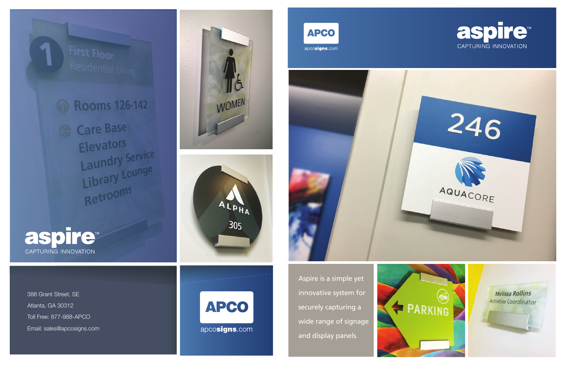

388 Grant Street, SE Atlanta, GA 30312 Toll Free: 877-988-APCO Email: sales@apcosigns.com





**APCO** apcosigns.com





Aspire is a simple yet innovative system for securely capturing a wide range of signage and display panels.





Melissa Rollins Activities Coordinator